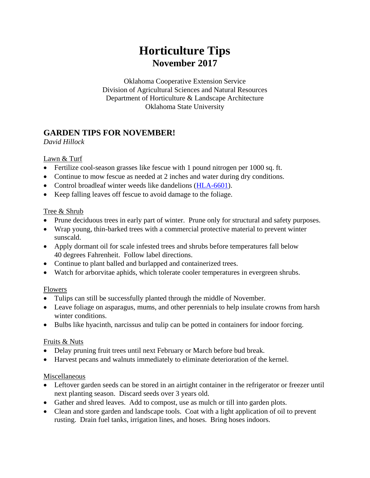# **Horticulture Tips November 2017**

Oklahoma Cooperative Extension Service Division of Agricultural Sciences and Natural Resources Department of Horticulture & Landscape Architecture Oklahoma State University

# **GARDEN TIPS FOR NOVEMBER!**

*David Hillock*

### Lawn & Turf

- Fertilize cool-season grasses like fescue with 1 pound nitrogen per 1000 sq. ft.
- Continue to mow fescue as needed at 2 inches and water during dry conditions.
- Control broadleaf winter weeds like dandelions [\(HLA-6601\)](http://pods.dasnr.okstate.edu/docushare/dsweb/Get/Document-1339/HLA-6601web2017.pdf).
- Keep falling leaves off fescue to avoid damage to the foliage.

### Tree & Shrub

- Prune deciduous trees in early part of winter. Prune only for structural and safety purposes.
- Wrap young, thin-barked trees with a commercial protective material to prevent winter sunscald.
- Apply dormant oil for scale infested trees and shrubs before temperatures fall below 40 degrees Fahrenheit. Follow label directions.
- Continue to plant balled and burlapped and containerized trees.
- Watch for arborvitae aphids, which tolerate cooler temperatures in evergreen shrubs.

### Flowers

- Tulips can still be successfully planted through the middle of November.
- Leave foliage on asparagus, mums, and other perennials to help insulate crowns from harsh winter conditions.
- Bulbs like hyacinth, narcissus and tulip can be potted in containers for indoor forcing.

# Fruits & Nuts

- Delay pruning fruit trees until next February or March before bud break.
- Harvest pecans and walnuts immediately to eliminate deterioration of the kernel.

# Miscellaneous

- Leftover garden seeds can be stored in an airtight container in the refrigerator or freezer until next planting season. Discard seeds over 3 years old.
- Gather and shred leaves. Add to compost, use as mulch or till into garden plots.
- Clean and store garden and landscape tools. Coat with a light application of oil to prevent rusting. Drain fuel tanks, irrigation lines, and hoses. Bring hoses indoors.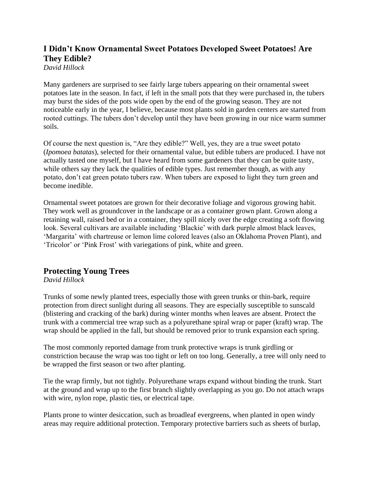# **I Didn't Know Ornamental Sweet Potatoes Developed Sweet Potatoes! Are They Edible?**

*David Hillock*

Many gardeners are surprised to see fairly large tubers appearing on their ornamental sweet potatoes late in the season. In fact, if left in the small pots that they were purchased in, the tubers may burst the sides of the pots wide open by the end of the growing season. They are not noticeable early in the year, I believe, because most plants sold in garden centers are started from rooted cuttings. The tubers don't develop until they have been growing in our nice warm summer soils.

Of course the next question is, "Are they edible?" Well, yes, they are a true sweet potato (*Ipomoea batatas*), selected for their ornamental value, but edible tubers are produced. I have not actually tasted one myself, but I have heard from some gardeners that they can be quite tasty, while others say they lack the qualities of edible types. Just remember though, as with any potato, don't eat green potato tubers raw. When tubers are exposed to light they turn green and become inedible.

Ornamental sweet potatoes are grown for their decorative foliage and vigorous growing habit. They work well as groundcover in the landscape or as a container grown plant. Grown along a retaining wall, raised bed or in a container, they spill nicely over the edge creating a soft flowing look. Several cultivars are available including 'Blackie' with dark purple almost black leaves, 'Margarita' with chartreuse or lemon lime colored leaves (also an Oklahoma Proven Plant), and 'Tricolor' or 'Pink Frost' with variegations of pink, white and green.

# **Protecting Young Trees**

#### *David Hillock*

Trunks of some newly planted trees, especially those with green trunks or thin-bark, require protection from direct sunlight during all seasons. They are especially susceptible to sunscald (blistering and cracking of the bark) during winter months when leaves are absent. Protect the trunk with a commercial tree wrap such as a polyurethane spiral wrap or paper (kraft) wrap. The wrap should be applied in the fall, but should be removed prior to trunk expansion each spring.

The most commonly reported damage from trunk protective wraps is trunk girdling or constriction because the wrap was too tight or left on too long. Generally, a tree will only need to be wrapped the first season or two after planting.

Tie the wrap firmly, but not tightly. Polyurethane wraps expand without binding the trunk. Start at the ground and wrap up to the first branch slightly overlapping as you go. Do not attach wraps with wire, nylon rope, plastic ties, or electrical tape.

Plants prone to winter desiccation, such as broadleaf evergreens, when planted in open windy areas may require additional protection. Temporary protective barriers such as sheets of burlap,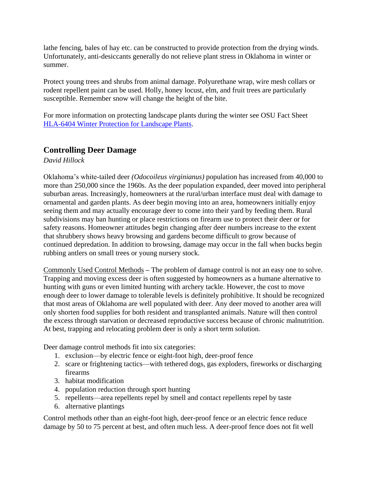lathe fencing, bales of hay etc. can be constructed to provide protection from the drying winds. Unfortunately, anti-desiccants generally do not relieve plant stress in Oklahoma in winter or summer.

Protect young trees and shrubs from animal damage. Polyurethane wrap, wire mesh collars or rodent repellent paint can be used. Holly, honey locust, elm, and fruit trees are particularly susceptible. Remember snow will change the height of the bite.

For more information on protecting landscape plants during the winter see OSU Fact Sheet [HLA-6404 Winter Protection for Landscape Plants.](http://pods.dasnr.okstate.edu/docushare/dsweb/Get/Document-1121/HLA-6404web.pdf)

### **Controlling Deer Damage**

*David Hillock*

Oklahoma's white-tailed deer *(Odocoileus virginianus)* population has increased from 40,000 to more than 250,000 since the 1960s. As the deer population expanded, deer moved into peripheral suburban areas. Increasingly, homeowners at the rural/urban interface must deal with damage to ornamental and garden plants. As deer begin moving into an area, homeowners initially enjoy seeing them and may actually encourage deer to come into their yard by feeding them. Rural subdivisions may ban hunting or place restrictions on firearm use to protect their deer or for safety reasons. Homeowner attitudes begin changing after deer numbers increase to the extent that shrubbery shows heavy browsing and gardens become difficult to grow because of continued depredation. In addition to browsing, damage may occur in the fall when bucks begin rubbing antlers on small trees or young nursery stock.

Commonly Used Control Methods **–** The problem of damage control is not an easy one to solve. Trapping and moving excess deer is often suggested by homeowners as a humane alternative to hunting with guns or even limited hunting with archery tackle. However, the cost to move enough deer to lower damage to tolerable levels is definitely prohibitive. It should be recognized that most areas of Oklahoma are well populated with deer. Any deer moved to another area will only shorten food supplies for both resident and transplanted animals. Nature will then control the excess through starvation or decreased reproductive success because of chronic malnutrition. At best, trapping and relocating problem deer is only a short term solution.

Deer damage control methods fit into six categories:

- 1. exclusion—by electric fence or eight-foot high, deer-proof fence
- 2. scare or frightening tactics—with tethered dogs, gas exploders, fireworks or discharging firearms
- 3. habitat modification
- 4. population reduction through sport hunting
- 5. repellents—area repellents repel by smell and contact repellents repel by taste
- 6. alternative plantings

Control methods other than an eight-foot high, deer-proof fence or an electric fence reduce damage by 50 to 75 percent at best, and often much less. A deer-proof fence does not fit well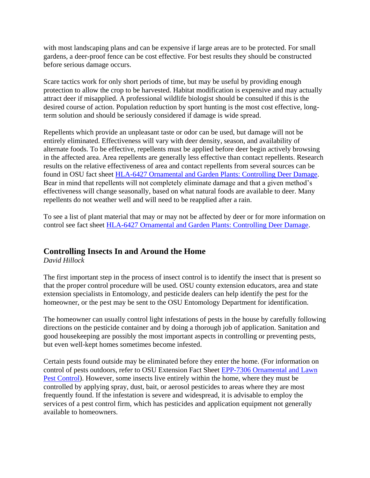with most landscaping plans and can be expensive if large areas are to be protected. For small gardens, a deer-proof fence can be cost effective. For best results they should be constructed before serious damage occurs.

Scare tactics work for only short periods of time, but may be useful by providing enough protection to allow the crop to be harvested. Habitat modification is expensive and may actually attract deer if misapplied. A professional wildlife biologist should be consulted if this is the desired course of action. Population reduction by sport hunting is the most cost effective, longterm solution and should be seriously considered if damage is wide spread.

Repellents which provide an unpleasant taste or odor can be used, but damage will not be entirely eliminated. Effectiveness will vary with deer density, season, and availability of alternate foods. To be effective, repellents must be applied before deer begin actively browsing in the affected area. Area repellents are generally less effective than contact repellents. Research results on the relative effectiveness of area and contact repellents from several sources can be found in OSU fact sheet [HLA-6427 Ornamental and Garden Plants: Controlling Deer Damage.](http://pods.dasnr.okstate.edu/docushare/dsweb/Get/Document-1089/HLA-6427web.pdf) Bear in mind that repellents will not completely eliminate damage and that a given method's effectiveness will change seasonally, based on what natural foods are available to deer. Many repellents do not weather well and will need to be reapplied after a rain.

To see a list of plant material that may or may not be affected by deer or for more information on control see fact sheet [HLA-6427 Ornamental and Garden Plants: Controlling Deer Damage.](http://pods.dasnr.okstate.edu/docushare/dsweb/Get/Document-1089/HLA-6427web.pdf)

# **Controlling Insects In and Around the Home**

*David Hillock*

The first important step in the process of insect control is to identify the insect that is present so that the proper control procedure will be used. OSU county extension educators, area and state extension specialists in Entomology, and pesticide dealers can help identify the pest for the homeowner, or the pest may be sent to the OSU Entomology Department for identification.

The homeowner can usually control light infestations of pests in the house by carefully following directions on the pesticide container and by doing a thorough job of application. Sanitation and good housekeeping are possibly the most important aspects in controlling or preventing pests, but even well-kept homes sometimes become infested.

Certain pests found outside may be eliminated before they enter the home. (For information on control of pests outdoors, refer to OSU Extension Fact Sheet [EPP-7306 Ornamental and Lawn](http://pods.dasnr.okstate.edu/docushare/dsweb/Get/Document-2281/EPP-7306web15.pdf)  [Pest Control\)](http://pods.dasnr.okstate.edu/docushare/dsweb/Get/Document-2281/EPP-7306web15.pdf). However, some insects live entirely within the home, where they must be controlled by applying spray, dust, bait, or aerosol pesticides to areas where they are most frequently found. If the infestation is severe and widespread, it is advisable to employ the services of a pest control firm, which has pesticides and application equipment not generally available to homeowners.